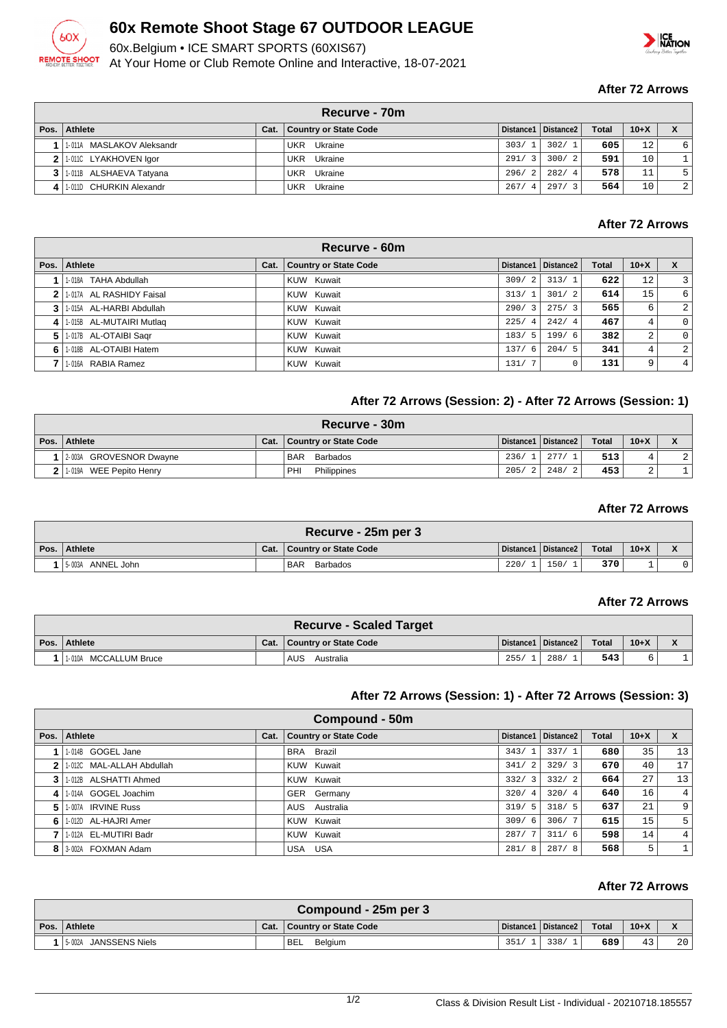

## **60x Remote Shoot Stage 67 OUTDOOR LEAGUE**

60x.Belgium • ICE SMART SPORTS (60XIS67)

At Your Home or Club Remote Online and Interactive, 18-07-2021



#### **After 72 Arrows**

|      | Recurve - 70m                 |      |                       |                                 |                       |              |                 |                |  |  |  |
|------|-------------------------------|------|-----------------------|---------------------------------|-----------------------|--------------|-----------------|----------------|--|--|--|
| Pos. | Athlete                       | Cat. | Country or State Code |                                 | Distance1   Distance2 | <b>Total</b> | $10+X$          |                |  |  |  |
|      | 1   1.011A MASLAKOV Aleksandr |      | Ukraine<br>UKR        | 303/1                           | 302/1                 | 605          | 12 <sup>°</sup> | 6              |  |  |  |
|      | 2 1.0110 LYAKHOVEN Igor       |      | Ukraine<br>UKR        | 291/<br>$\overline{\mathbf{3}}$ | 300/2                 | 591          | 10              |                |  |  |  |
|      | 1-011B ALSHAEVA Tatyana       |      | Ukraine<br><b>UKR</b> | 296/<br>$\overline{2}$          | 282/4                 | 578          | 11              | 5              |  |  |  |
|      | 4 1.011D CHURKIN Alexandr     |      | <b>UKR</b><br>Ukraine | 267/<br>$\overline{4}$          | 297/3                 | 564          | 10              | $\overline{a}$ |  |  |  |

## **After 72 Arrows**

|    | Recurve - 60m            |      |                              |       |                       |              |        |                  |  |  |
|----|--------------------------|------|------------------------------|-------|-----------------------|--------------|--------|------------------|--|--|
|    | Pos. Athlete             | Cat. | <b>Country or State Code</b> |       | Distance1   Distance2 | <b>Total</b> | $10+X$ |                  |  |  |
|    | 1-018A TAHA Abdullah     |      | KUW Kuwait                   | 309/2 | 313/1                 | 622          | 12     | $\overline{3}$   |  |  |
|    | 1-017A AL RASHIDY Faisal |      | KUW Kuwait                   | 313/1 | 301/2                 | 614          | 15     | $6 \overline{6}$ |  |  |
|    | 1-015A AL-HARBI Abdullah |      | KUW Kuwait                   | 290/3 | 275/3                 | 565          | 6      | $\overline{2}$   |  |  |
| 4  | 1-015B AL-MUTAIRI Mutlag |      | KUW Kuwait                   | 225/4 | 242/4                 | 467          | 4      | $\circ$          |  |  |
| 5. | 1-017B AL-OTAIBI Sagr    |      | KUW Kuwait                   | 183/5 | 199/6                 | 382          | 2      | $\circ$          |  |  |
| 6  | 1-018B AL-OTAIBI Hatem   |      | KUW Kuwait                   | 137/6 | 204/5                 | 341          | 4      | $\overline{2}$   |  |  |
|    | 1-016A RABIA Ramez       |      | KUW Kuwait                   | 131/7 |                       | 131          | 9      | 4 <sup>1</sup>   |  |  |

## **After 72 Arrows (Session: 2) - After 72 Arrows (Session: 1)**

| Recurve - 30m           |      |                        |       |                                                             |              |        |                |  |  |
|-------------------------|------|------------------------|-------|-------------------------------------------------------------|--------------|--------|----------------|--|--|
| Pos. Athlete            | Cat. | Country or State Code  |       | Distance1   Distance2                                       | <b>Total</b> | $10+X$ |                |  |  |
| 2-003A GROVESNOR Dwayne |      | <b>BAR</b><br>Barbados | 236/1 | $\begin{array}{c} \begin{array}{c} \end{array} \end{array}$ | 513          |        | $\overline{2}$ |  |  |
| 1-019A WEE Pepito Henry |      | PHI<br>Philippines     |       | 205/2 248/2                                                 | 453          | ▵      |                |  |  |

## **After 72 Arrows**

| Recurve - 25m per 3  |      |                        |      |                       |              |        |  |  |  |  |
|----------------------|------|------------------------|------|-----------------------|--------------|--------|--|--|--|--|
| Pos. Athlete         | Cat. | Country or State Code  |      | Distance1   Distance2 | <b>Total</b> | $10+X$ |  |  |  |  |
| ANNEL John<br>5-003A |      | <b>BAR</b><br>Barbados | 220/ | 150/                  | 370          |        |  |  |  |  |

#### **After 72 Arrows**

|                       | <b>Recurve - Scaled Target</b> |      |                       |       |        |  |
|-----------------------|--------------------------------|------|-----------------------|-------|--------|--|
| Pos. Athlete          | Cat.   Country or State Code   |      | Distance1   Distance2 | Total | $10+X$ |  |
| 1-010A MCCALLUM Bruce | <b>AUS</b><br>Australia        | 255/ | 288/                  | 543   |        |  |

## **After 72 Arrows (Session: 1) - After 72 Arrows (Session: 3)**

|      | Compound - 50m            |      |                              |                        |                       |              |        |    |  |  |
|------|---------------------------|------|------------------------------|------------------------|-----------------------|--------------|--------|----|--|--|
| Pos. | Athlete                   | Cat. | <b>Country or State Code</b> |                        | Distance1   Distance2 | <b>Total</b> | $10+X$ | X  |  |  |
|      | 1-014B GOGEL Jane         |      | Brazil<br><b>BRA</b>         | $\overline{1}$<br>343/ | 337/1                 | 680          | 35     | 13 |  |  |
|      | 1-012C MAL-ALLAH Abdullah |      | KUW Kuwait                   | 341/<br>2              | 329/3                 | 670          | 40     | 17 |  |  |
|      | 1-012B ALSHATTI Ahmed     |      | KUW Kuwait                   | 332/<br>3              | 332/2                 | 664          | 27     | 13 |  |  |
| 4    | 1-014A GOGEL Joachim      |      | GER Germany                  | 320/<br>-4             | 320/4                 | 640          | 16     | 4  |  |  |
| 5    | 1-007A IRVINE Russ        |      | AUS Australia                | 319/5                  | 318/5                 | 637          | 21     | 9  |  |  |
| 6    | 1-012D AL-HAJRI Amer      |      | KUW Kuwait                   | 309/<br>-6             | 306/7                 | 615          | 15     | 5  |  |  |
|      | 1-012A EL-MUTIRI Badr     |      | KUW Kuwait                   | 287/                   | 311/6                 | 598          | 14     | 4  |  |  |
|      | 8   3-002A FOXMAN Adam    |      | USA<br>USA                   | 281/<br>-8             | 287/8                 | 568          | 5      | 1  |  |  |

#### **After 72 Arrows**

| Compound - 25m per 3  |  |                              |      |                       |       |        |    |  |  |  |
|-----------------------|--|------------------------------|------|-----------------------|-------|--------|----|--|--|--|
| Pos.   Athlete        |  | Cat.   Country or State Code |      | Distance1   Distance2 | Total | $10+X$ |    |  |  |  |
| 5-002A JANSSENS Niels |  | <sup>1</sup> BEL<br>Belaium  | 351/ | 338/                  | 689   | 43     | 20 |  |  |  |